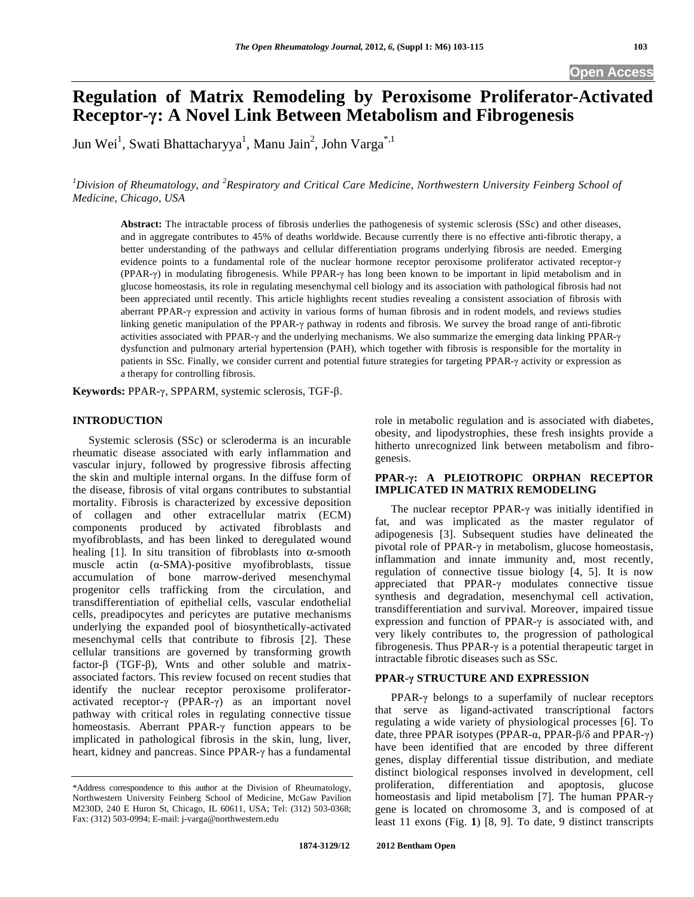# **Regulation of Matrix Remodeling by Peroxisome Proliferator-Activated Receptor-: A Novel Link Between Metabolism and Fibrogenesis**

Jun Wei<sup>1</sup>, Swati Bhattacharyya<sup>1</sup>, Manu Jain<sup>2</sup>, John Varga<sup>\*,1</sup>

*1 Division of Rheumatology, and <sup>2</sup> Respiratory and Critical Care Medicine, Northwestern University Feinberg School of Medicine, Chicago, USA* 

**Abstract:** The intractable process of fibrosis underlies the pathogenesis of systemic sclerosis (SSc) and other diseases, and in aggregate contributes to 45% of deaths worldwide. Because currently there is no effective anti-fibrotic therapy, a better understanding of the pathways and cellular differentiation programs underlying fibrosis are needed. Emerging evidence points to a fundamental role of the nuclear hormone receptor peroxisome proliferator activated receptor- $\gamma$ (PPAR- $\gamma$ ) in modulating fibrogenesis. While PPAR- $\gamma$  has long been known to be important in lipid metabolism and in glucose homeostasis, its role in regulating mesenchymal cell biology and its association with pathological fibrosis had not been appreciated until recently. This article highlights recent studies revealing a consistent association of fibrosis with aberrant PPAR- $\gamma$  expression and activity in various forms of human fibrosis and in rodent models, and reviews studies linking genetic manipulation of the PPAR- $\gamma$  pathway in rodents and fibrosis. We survey the broad range of anti-fibrotic activities associated with PPAR- $\gamma$  and the underlying mechanisms. We also summarize the emerging data linking PPAR- $\gamma$ dysfunction and pulmonary arterial hypertension (PAH), which together with fibrosis is responsible for the mortality in patients in SSc. Finally, we consider current and potential future strategies for targeting PPAR- $\gamma$  activity or expression as a therapy for controlling fibrosis.

**Keywords:** PPAR-γ, SPPARM, systemic sclerosis, TGF-β.

## **INTRODUCTION**

 Systemic sclerosis (SSc) or scleroderma is an incurable rheumatic disease associated with early inflammation and vascular injury, followed by progressive fibrosis affecting the skin and multiple internal organs. In the diffuse form of the disease, fibrosis of vital organs contributes to substantial mortality. Fibrosis is characterized by excessive deposition of collagen and other extracellular matrix (ECM) components produced by activated fibroblasts and myofibroblasts, and has been linked to deregulated wound healing [1]. In situ transition of fibroblasts into  $\alpha$ -smooth muscle actin  $(\alpha$ -SMA)-positive myofibroblasts, tissue accumulation of bone marrow-derived mesenchymal progenitor cells trafficking from the circulation, and transdifferentiation of epithelial cells, vascular endothelial cells, preadipocytes and pericytes are putative mechanisms underlying the expanded pool of biosynthetically-activated mesenchymal cells that contribute to fibrosis [2]. These cellular transitions are governed by transforming growth factor- $\beta$  (TGF- $\beta$ ), Wnts and other soluble and matrixassociated factors. This review focused on recent studies that identify the nuclear receptor peroxisome proliferatoractivated receptor- $\gamma$  (PPAR- $\gamma$ ) as an important novel pathway with critical roles in regulating connective tissue homeostasis. Aberrant PPAR- $\gamma$  function appears to be implicated in pathological fibrosis in the skin, lung, liver, heart, kidney and pancreas. Since PPAR- $\gamma$  has a fundamental role in metabolic regulation and is associated with diabetes, obesity, and lipodystrophies, these fresh insights provide a hitherto unrecognized link between metabolism and fibrogenesis.

# **PPAR-: A PLEIOTROPIC ORPHAN RECEPTOR IMPLICATED IN MATRIX REMODELING**

The nuclear receptor PPAR- $\gamma$  was initially identified in fat, and was implicated as the master regulator of adipogenesis [3]. Subsequent studies have delineated the pivotal role of PPAR- $\gamma$  in metabolism, glucose homeostasis, inflammation and innate immunity and, most recently, regulation of connective tissue biology [4, 5]. It is now appreciated that  $PPAR-\gamma$  modulates connective tissue synthesis and degradation, mesenchymal cell activation, transdifferentiation and survival. Moreover, impaired tissue expression and function of PPAR- $\gamma$  is associated with, and very likely contributes to, the progression of pathological fibrogenesis. Thus PPAR- $\gamma$  is a potential therapeutic target in intractable fibrotic diseases such as SSc.

# **PPAR- STRUCTURE AND EXPRESSION**

PPAR- $\gamma$  belongs to a superfamily of nuclear receptors that serve as ligand-activated transcriptional factors regulating a wide variety of physiological processes [6]. To date, three PPAR isotypes (PPAR- $\alpha$ , PPAR- $\beta$ / $\delta$  and PPAR- $\gamma$ ) have been identified that are encoded by three different genes, display differential tissue distribution, and mediate distinct biological responses involved in development, cell proliferation, differentiation and apoptosis, glucose homeostasis and lipid metabolism [7]. The human PPAR- $\gamma$ gene is located on chromosome 3, and is composed of at least 11 exons (Fig. **1**) [8, 9]. To date, 9 distinct transcripts

<sup>\*</sup>Address correspondence to this author at the Division of Rheumatology, Northwestern University Feinberg School of Medicine, McGaw Pavilion M230D, 240 E Huron St, Chicago, IL 60611, USA; Tel: (312) 503-0368; Fax: (312) 503-0994; E-mail: j-varga@northwestern.edu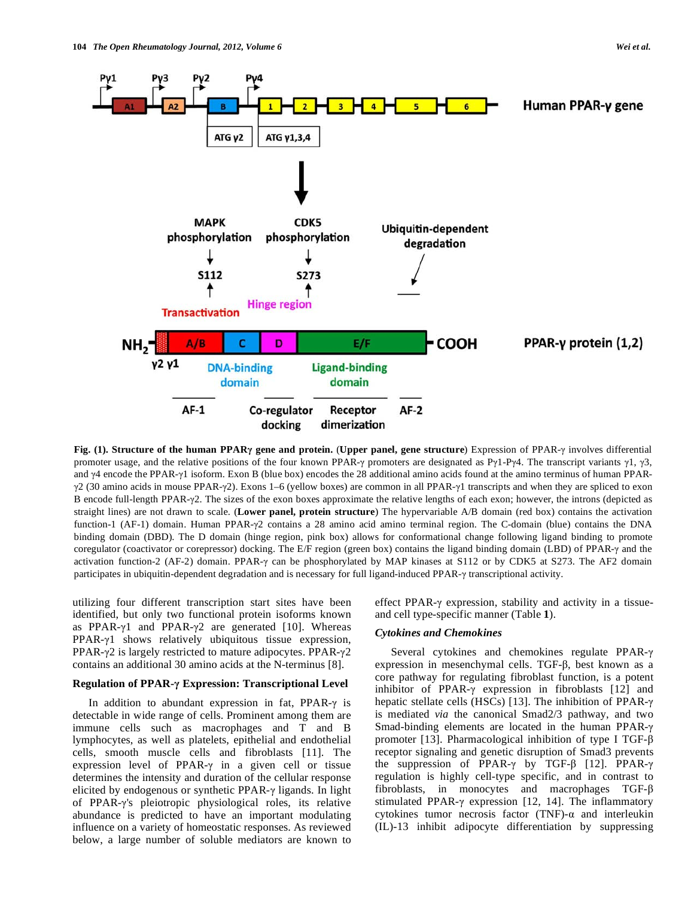

**Fig. (1). Structure of the human PPAR<sub>Y</sub> gene and protein. (Upper panel, gene structure) Expression of PPAR-** $\gamma$  **involves differential** promoter usage, and the relative positions of the four known PPAR- $\gamma$  promoters are designated as P $\gamma$ 1-P $\gamma$ 4. The transcript variants  $\gamma$ 1,  $\gamma$ 3, and  $\gamma$ 4 encode the PPAR- $\gamma$ 1 isoform. Exon B (blue box) encodes the 28 additional amino acids found at the amino terminus of human PPAR- $\gamma$ 2 (30 amino acids in mouse PPAR- $\gamma$ 2). Exons 1–6 (yellow boxes) are common in all PPAR- $\gamma$ 1 transcripts and when they are spliced to exon B encode full-length PPAR-2. The sizes of the exon boxes approximate the relative lengths of each exon; however, the introns (depicted as straight lines) are not drawn to scale. (**Lower panel, protein structure**) The hypervariable A/B domain (red box) contains the activation function-1 (AF-1) domain. Human PPAR- $\gamma$ 2 contains a 28 amino acid amino terminal region. The C-domain (blue) contains the DNA binding domain (DBD). The D domain (hinge region, pink box) allows for conformational change following ligand binding to promote coregulator (coactivator or corepressor) docking. The E/F region (green box) contains the ligand binding domain (LBD) of PPAR- $\gamma$  and the activation function-2 (AF-2) domain. PPAR- $\gamma$  can be phosphorylated by MAP kinases at S112 or by CDK5 at S273. The AF2 domain participates in ubiquitin-dependent degradation and is necessary for full ligand-induced PPAR- $\gamma$  transcriptional activity.

utilizing four different transcription start sites have been identified, but only two functional protein isoforms known as PPAR- $\gamma$ 1 and PPAR- $\gamma$ 2 are generated [10]. Whereas  $PPAR-<sub>1</sub>$  shows relatively ubiquitous tissue expression, PPAR- $\gamma$ 2 is largely restricted to mature adipocytes. PPAR- $\gamma$ 2 contains an additional 30 amino acids at the N-terminus [8].

# **Regulation of PPAR- Expression: Transcriptional Level**

In addition to abundant expression in fat,  $PPAR-\gamma$  is detectable in wide range of cells. Prominent among them are immune cells such as macrophages and T and B lymphocytes, as well as platelets, epithelial and endothelial cells, smooth muscle cells and fibroblasts [11]. The expression level of PPAR- $\gamma$  in a given cell or tissue determines the intensity and duration of the cellular response elicited by endogenous or synthetic PPAR- $\gamma$  ligands. In light of PPAR-'s pleiotropic physiological roles, its relative abundance is predicted to have an important modulating influence on a variety of homeostatic responses. As reviewed below, a large number of soluble mediators are known to effect PPAR- $\gamma$  expression, stability and activity in a tissueand cell type-specific manner (Table **1**).

#### *Cytokines and Chemokines*

Several cytokines and chemokines regulate PPAR- $\gamma$ expression in mesenchymal cells. TGF- $\beta$ , best known as a core pathway for regulating fibroblast function, is a potent inhibitor of PPAR- $\gamma$  expression in fibroblasts [12] and hepatic stellate cells (HSCs) [13]. The inhibition of PPAR-γ is mediated *via* the canonical Smad2/3 pathway, and two Smad-binding elements are located in the human PPAR- $\gamma$ promoter [13]. Pharmacological inhibition of type I TGF- $\beta$ receptor signaling and genetic disruption of Smad3 prevents the suppression of PPAR- $\gamma$  by TGF- $\beta$  [12]. PPAR- $\gamma$ regulation is highly cell-type specific, and in contrast to fibroblasts, in monocytes and macrophages TGF- $\beta$ stimulated PPAR- $\gamma$  expression [12, 14]. The inflammatory cytokines tumor necrosis factor (TNF)- $\alpha$  and interleukin (IL)-13 inhibit adipocyte differentiation by suppressing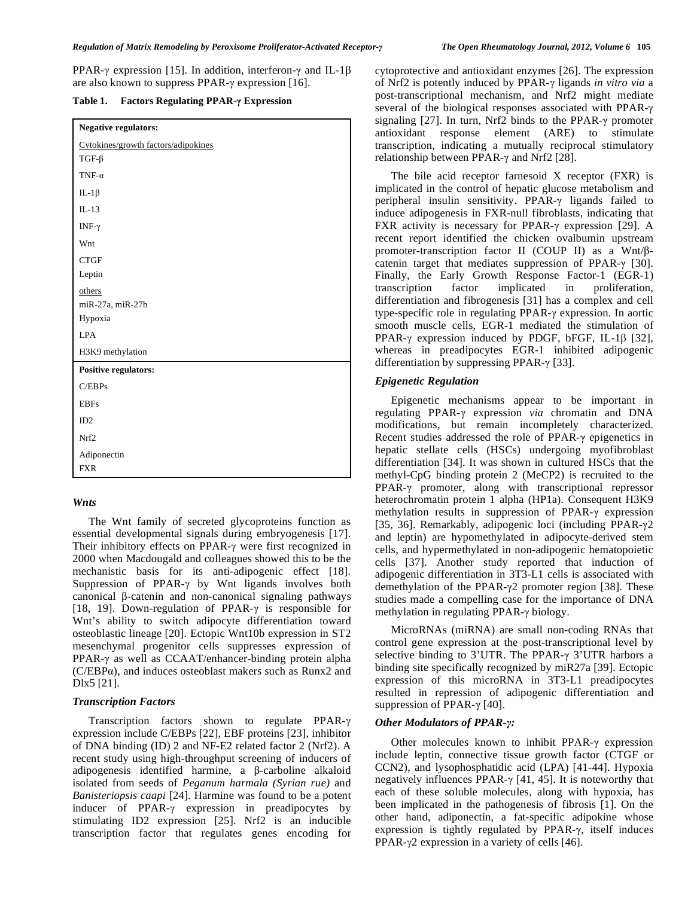PPAR- $\gamma$  expression [15]. In addition, interferon- $\gamma$  and IL-1 $\beta$ are also known to suppress PPAR- $\gamma$  expression [16].

**Table 1. Factors Regulating PPAR- Expression** 

| <b>Negative regulators:</b>         |
|-------------------------------------|
| Cytokines/growth factors/adipokines |
| $TGF-\beta$                         |
| TNF- $\alpha$                       |
| IL-1 $\beta$                        |
| $IL-13$                             |
| INF- $\gamma$                       |
| Wnt                                 |
| <b>CTGF</b>                         |
| Leptin                              |
| others                              |
| miR-27a, miR-27b                    |
| Hypoxia                             |
| <b>LPA</b>                          |
| H3K9 methylation                    |
| <b>Positive regulators:</b>         |
| C/EBPs                              |
| <b>EBFs</b>                         |
| ID2                                 |
| Nrf2                                |
| Adiponectin                         |
| <b>FXR</b>                          |

# *Wnts*

 The Wnt family of secreted glycoproteins function as essential developmental signals during embryogenesis [17]. Their inhibitory effects on PPAR- $\gamma$  were first recognized in 2000 when Macdougald and colleagues showed this to be the mechanistic basis for its anti-adipogenic effect [18]. Suppression of PPAR- $\gamma$  by Wnt ligands involves both canonical  $\beta$ -catenin and non-canonical signaling pathways [18, 19]. Down-regulation of PPAR- $\gamma$  is responsible for Wnt's ability to switch adipocyte differentiation toward osteoblastic lineage [20]. Ectopic Wnt10b expression in ST2 mesenchymal progenitor cells suppresses expression of PPAR- $\gamma$  as well as CCAAT/enhancer-binding protein alpha  $(C/EBP\alpha)$ , and induces osteoblast makers such as Runx2 and Dlx5 [21].

# *Transcription Factors*

Transcription factors shown to regulate PPAR- $\gamma$ expression include C/EBPs [22], EBF proteins [23], inhibitor of DNA binding (ID) 2 and NF-E2 related factor 2 (Nrf2). A recent study using high-throughput screening of inducers of adipogenesis identified harmine, a  $\beta$ -carboline alkaloid isolated from seeds of *Peganum harmala (Syrian rue)* and *Banisteriopsis caapi* [24]. Harmine was found to be a potent inducer of PPAR- $\gamma$  expression in preadipocytes by stimulating ID2 expression [25]. Nrf2 is an inducible transcription factor that regulates genes encoding for

cytoprotective and antioxidant enzymes [26]. The expression of Nrf2 is potently induced by PPAR- $\gamma$  ligands *in vitro via* a post-transcriptional mechanism, and Nrf2 might mediate several of the biological responses associated with PPAR signaling  $[27]$ . In turn, Nrf2 binds to the PPAR- $\gamma$  promoter antioxidant response element (ARE) to stimulate transcription, indicating a mutually reciprocal stimulatory relationship between PPAR- $\gamma$  and Nrf2 [28].

 The bile acid receptor farnesoid X receptor (FXR) is implicated in the control of hepatic glucose metabolism and peripheral insulin sensitivity. PPAR- $\gamma$  ligands failed to induce adipogenesis in FXR-null fibroblasts, indicating that FXR activity is necessary for PPAR- $\gamma$  expression [29]. A recent report identified the chicken ovalbumin upstream promoter-transcription factor II (COUP II) as a Wnt/ $\beta$ catenin target that mediates suppression of PPAR- $\gamma$  [30]. Finally, the Early Growth Response Factor-1 (EGR-1) transcription factor implicated in proliferation, differentiation and fibrogenesis [31] has a complex and cell type-specific role in regulating PPAR- $\gamma$  expression. In aortic smooth muscle cells, EGR-1 mediated the stimulation of PPAR- $\gamma$  expression induced by PDGF, bFGF, IL-1 $\beta$  [32], whereas in preadipocytes EGR-1 inhibited adipogenic differentiation by suppressing PPAR- $\gamma$  [33].

# *Epigenetic Regulation*

 Epigenetic mechanisms appear to be important in regulating PPAR- $\gamma$  expression *via* chromatin and DNA modifications, but remain incompletely characterized. Recent studies addressed the role of PPAR- $\gamma$  epigenetics in hepatic stellate cells (HSCs) undergoing myofibroblast differentiation [34]. It was shown in cultured HSCs that the methyl-CpG binding protein 2 (MeCP2) is recruited to the  $PPAR- $\gamma$  promoter, along with transcriptional repressure$ heterochromatin protein 1 alpha (HP1a). Consequent H3K9 methylation results in suppression of PPAR- $\gamma$  expression [35, 36]. Remarkably, adipogenic loci (including PPAR- $\gamma$ 2 and leptin) are hypomethylated in adipocyte-derived stem cells, and hypermethylated in non-adipogenic hematopoietic cells [37]. Another study reported that induction of adipogenic differentiation in 3T3-L1 cells is associated with demethylation of the PPAR- $\gamma$ 2 promoter region [38]. These studies made a compelling case for the importance of DNA methylation in regulating PPAR- $\gamma$  biology.

 MicroRNAs (miRNA) are small non-coding RNAs that control gene expression at the post-transcriptional level by selective binding to 3'UTR. The PPAR- $\gamma$  3'UTR harbors a binding site specifically recognized by miR27a [39]. Ectopic expression of this microRNA in 3T3-L1 preadipocytes resulted in repression of adipogenic differentiation and suppression of PPAR- $\gamma$  [40].

# *Other Modulators of PPAR-:*

Other molecules known to inhibit PPAR- $\gamma$  expression include leptin, connective tissue growth factor (CTGF or CCN2), and lysophosphatidic acid (LPA) [41-44]. Hypoxia negatively influences PPAR- $\gamma$  [41, 45]. It is noteworthy that each of these soluble molecules, along with hypoxia, has been implicated in the pathogenesis of fibrosis [1]. On the other hand, adiponectin, a fat-specific adipokine whose expression is tightly regulated by PPAR- $\gamma$ , itself induces PPAR- $\gamma$ 2 expression in a variety of cells [46].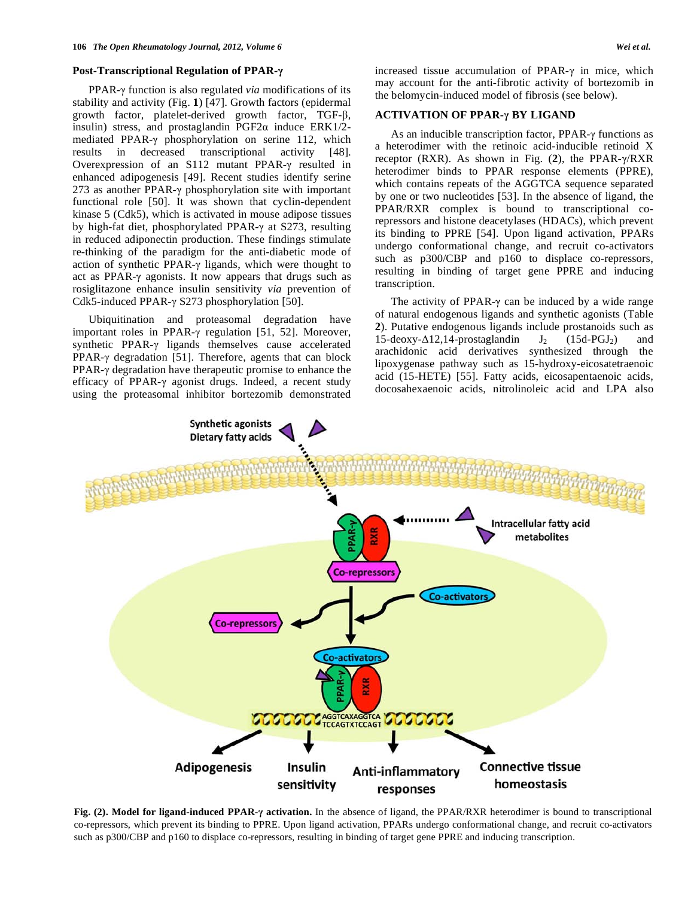#### **Post-Transcriptional Regulation of PPAR-**

PPAR- $\gamma$  function is also regulated *via* modifications of its stability and activity (Fig. **1**) [47]. Growth factors (epidermal growth factor, platelet-derived growth factor, TGF- $\beta$ , insulin) stress, and prostaglandin  $PGF2\alpha$  induce  $ERK1/2$ mediated PPAR- $\gamma$  phosphorylation on serine 112, which results in decreased transcriptional activity [48]. Overexpression of an S112 mutant PPAR- $\gamma$  resulted in enhanced adipogenesis [49]. Recent studies identify serine 273 as another PPAR- $\gamma$  phosphorylation site with important functional role [50]. It was shown that cyclin-dependent kinase 5 (Cdk5), which is activated in mouse adipose tissues by high-fat diet, phosphorylated PPAR- $\gamma$  at S273, resulting in reduced adiponectin production. These findings stimulate re-thinking of the paradigm for the anti-diabetic mode of action of synthetic PPAR- $\gamma$  ligands, which were thought to act as PPAR- $\gamma$  agonists. It now appears that drugs such as rosiglitazone enhance insulin sensitivity *via* prevention of Cdk5-induced PPAR- $\gamma$  S273 phosphorylation [50].

 Ubiquitination and proteasomal degradation have important roles in PPAR- $\gamma$  regulation [51, 52]. Moreover, synthetic PPAR- $\gamma$  ligands themselves cause accelerated PPAR- $\gamma$  degradation [51]. Therefore, agents that can block  $PPAR-<sub>\gamma</sub>$  degradation have therapeutic promise to enhance the efficacy of PPAR- $\gamma$  agonist drugs. Indeed, a recent study using the proteasomal inhibitor bortezomib demonstrated increased tissue accumulation of PPAR- $\gamma$  in mice, which may account for the anti-fibrotic activity of bortezomib in the belomycin-induced model of fibrosis (see below).

### **ACTIVATION OF PPAR-** $\gamma$  **BY LIGAND**

As an inducible transcription factor,  $PPAR-\gamma$  functions as a heterodimer with the retinoic acid-inducible retinoid X receptor (RXR). As shown in Fig.  $(2)$ , the PPAR- $\gamma$ /RXR heterodimer binds to PPAR response elements (PPRE), which contains repeats of the AGGTCA sequence separated by one or two nucleotides [53]. In the absence of ligand, the PPAR/RXR complex is bound to transcriptional corepressors and histone deacetylases (HDACs), which prevent its binding to PPRE [54]. Upon ligand activation, PPARs undergo conformational change, and recruit co-activators such as p300/CBP and p160 to displace co-repressors, resulting in binding of target gene PPRE and inducing transcription.

The activity of PPAR- $\gamma$  can be induced by a wide range of natural endogenous ligands and synthetic agonists (Table **2**). Putative endogenous ligands include prostanoids such as 15-deoxy- $\Delta$ 12,14-prostaglandin  $J_2$  (15d-PGJ<sub>2</sub>) and arachidonic acid derivatives synthesized through the lipoxygenase pathway such as 15-hydroxy-eicosatetraenoic acid (15-HETE) [55]. Fatty acids, eicosapentaenoic acids, docosahexaenoic acids, nitrolinoleic acid and LPA also



Fig. (2). Model for ligand-induced PPAR- $\gamma$  activation. In the absence of ligand, the PPAR/RXR heterodimer is bound to transcriptional co-repressors, which prevent its binding to PPRE. Upon ligand activation, PPARs undergo conformational change, and recruit co-activators such as p300/CBP and p160 to displace co-repressors, resulting in binding of target gene PPRE and inducing transcription.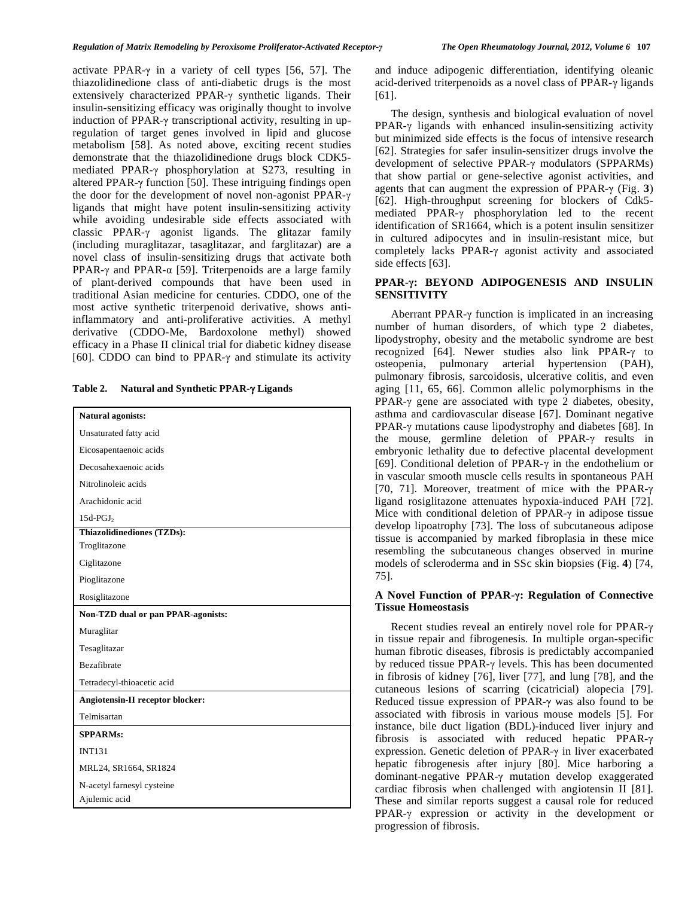activate PPAR- $\gamma$  in a variety of cell types [56, 57]. The thiazolidinedione class of anti-diabetic drugs is the most extensively characterized PPAR- $\gamma$  synthetic ligands. Their insulin-sensitizing efficacy was originally thought to involve induction of PPAR- $\gamma$  transcriptional activity, resulting in upregulation of target genes involved in lipid and glucose metabolism [58]. As noted above, exciting recent studies demonstrate that the thiazolidinedione drugs block CDK5 mediated PPAR- $\gamma$  phosphorylation at S273, resulting in altered PPAR- $\gamma$  function [50]. These intriguing findings open the door for the development of novel non-agonist PPAR- $\gamma$ ligands that might have potent insulin-sensitizing activity while avoiding undesirable side effects associated with classic PPAR- $\gamma$  agonist ligands. The glitazar family (including muraglitazar, tasaglitazar, and farglitazar) are a novel class of insulin-sensitizing drugs that activate both PPAR- $\gamma$  and PPAR- $\alpha$  [59]. Triterpenoids are a large family of plant-derived compounds that have been used in traditional Asian medicine for centuries. CDDO, one of the most active synthetic triterpenoid derivative, shows antiinflammatory and anti-proliferative activities. A methyl derivative (CDDO-Me, Bardoxolone methyl) showed efficacy in a Phase II clinical trial for diabetic kidney disease [60]. CDDO can bind to PPAR- $\gamma$  and stimulate its activity

Table 2. Natural and Synthetic PPAR- $\gamma$  Ligands

| Natural agonists:                         |  |  |
|-------------------------------------------|--|--|
| Unsaturated fatty acid                    |  |  |
| Eicosapentaenoic acids                    |  |  |
| Decosahexaenoic acids                     |  |  |
| Nitrolinoleic acids                       |  |  |
| Arachidonic acid                          |  |  |
| $15d$ -PGJ <sub>2</sub>                   |  |  |
| Thiazolidinediones (TZDs):                |  |  |
| Troglitazone                              |  |  |
| Ciglitazone                               |  |  |
| Pioglitazone                              |  |  |
| Rosiglitazone                             |  |  |
| <b>Non-TZD dual or pan PPAR-agonists:</b> |  |  |
| Muraglitar                                |  |  |
| Tesaglitazar                              |  |  |
| <b>Bezafibrate</b>                        |  |  |
| Tetradecyl-thioacetic acid                |  |  |
| Angiotensin-II receptor blocker:          |  |  |
| Telmisartan                               |  |  |
| <b>SPPARMs:</b>                           |  |  |
| <b>INT131</b>                             |  |  |
| MRL24, SR1664, SR1824                     |  |  |
| N-acetyl farnesyl cysteine                |  |  |
| Ajulemic acid                             |  |  |

and induce adipogenic differentiation, identifying oleanic acid-derived triterpenoids as a novel class of PPAR- $\gamma$  ligands [61].

 The design, synthesis and biological evaluation of novel  $PPAR-\gamma$  ligands with enhanced insulin-sensitizing activity but minimized side effects is the focus of intensive research [62]. Strategies for safer insulin-sensitizer drugs involve the development of selective PPAR- $\gamma$  modulators (SPPARMs) that show partial or gene-selective agonist activities, and agents that can augment the expression of PPAR- $\gamma$  (Fig. 3) [62]. High-throughput screening for blockers of Cdk5 mediated PPAR- $\gamma$  phosphorylation led to the recent identification of SR1664, which is a potent insulin sensitizer in cultured adipocytes and in insulin-resistant mice, but completely lacks PPAR- $\gamma$  agonist activity and associated side effects [63].

# **PPAR-: BEYOND ADIPOGENESIS AND INSULIN SENSITIVITY**

Aberrant PPAR- $\gamma$  function is implicated in an increasing number of human disorders, of which type 2 diabetes, lipodystrophy, obesity and the metabolic syndrome are best recognized [64]. Newer studies also link PPAR- $\gamma$  to osteopenia, pulmonary arterial hypertension (PAH), pulmonary fibrosis, sarcoidosis, ulcerative colitis, and even aging [11, 65, 66]. Common allelic polymorphisms in the PPAR- $\gamma$  gene are associated with type 2 diabetes, obesity, asthma and cardiovascular disease [67]. Dominant negative PPAR- $\gamma$  mutations cause lipodystrophy and diabetes [68]. In the mouse, germline deletion of PPAR- $\gamma$  results in embryonic lethality due to defective placental development [69]. Conditional deletion of PPAR- $\gamma$  in the endothelium or in vascular smooth muscle cells results in spontaneous PAH [70, 71]. Moreover, treatment of mice with the PPAR- $\gamma$ ligand rosiglitazone attenuates hypoxia-induced PAH [72]. Mice with conditional deletion of PPAR- $\gamma$  in adipose tissue develop lipoatrophy [73]. The loss of subcutaneous adipose tissue is accompanied by marked fibroplasia in these mice resembling the subcutaneous changes observed in murine models of scleroderma and in SSc skin biopsies (Fig. **4**) [74, 75].

### **A Novel Function of PPAR-: Regulation of Connective Tissue Homeostasis**

Recent studies reveal an entirely novel role for PPAR- $\gamma$ in tissue repair and fibrogenesis. In multiple organ-specific human fibrotic diseases, fibrosis is predictably accompanied by reduced tissue PPAR- $\gamma$  levels. This has been documented in fibrosis of kidney [76], liver [77], and lung [78], and the cutaneous lesions of scarring (cicatricial) alopecia [79]. Reduced tissue expression of PPAR- $\gamma$  was also found to be associated with fibrosis in various mouse models [5]. For instance, bile duct ligation (BDL)-induced liver injury and fibrosis is associated with reduced hepatic PPAR- $\gamma$ expression. Genetic deletion of PPAR- $\gamma$  in liver exacerbated hepatic fibrogenesis after injury [80]. Mice harboring a dominant-negative PPAR- $\gamma$  mutation develop exaggerated cardiac fibrosis when challenged with angiotensin II [81]. These and similar reports suggest a causal role for reduced  $PPAR-\gamma$  expression or activity in the development or progression of fibrosis.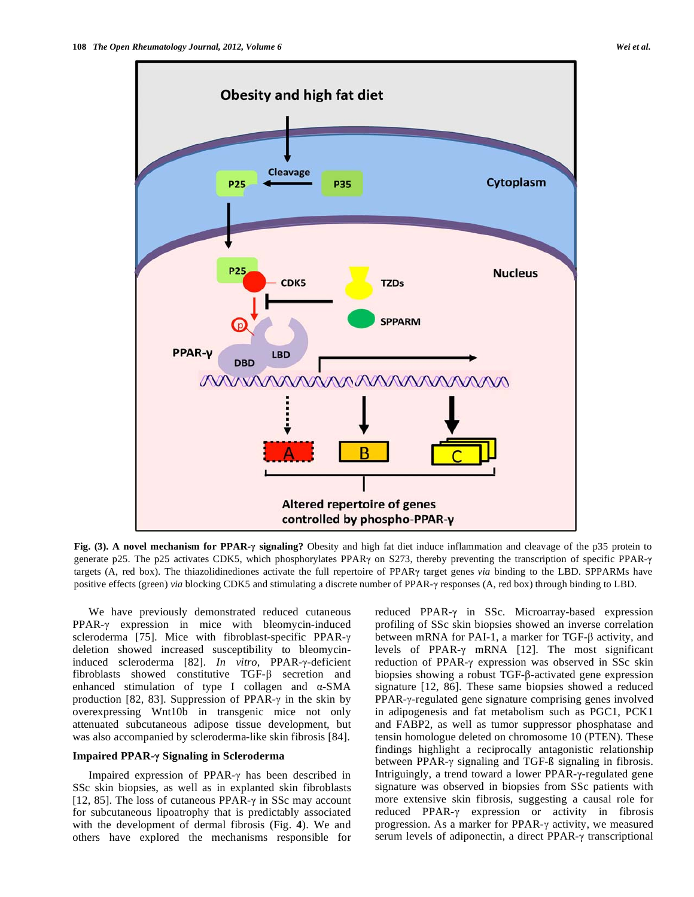

**Fig. (3). A novel mechanism for PPAR- signaling?** Obesity and high fat diet induce inflammation and cleavage of the p35 protein to generate p25. The p25 activates CDK5, which phosphorylates PPAR $\gamma$  on S273, thereby preventing the transcription of specific PPAR- $\gamma$ targets (A, red box). The thiazolidinediones activate the full repertoire of PPAR target genes *via* binding to the LBD. SPPARMs have positive effects (green) *via* blocking CDK5 and stimulating a discrete number of PPAR- $\gamma$  responses (A, red box) through binding to LBD.

 We have previously demonstrated reduced cutaneous  $PPAR-v$  expression in mice with bleomycin-induced scleroderma [75]. Mice with fibroblast-specific PPAR- $\gamma$ deletion showed increased susceptibility to bleomycininduced scleroderma [82]. *In vitro*, PPAR-y-deficient fibroblasts showed constitutive  $TGF-\beta$  secretion and enhanced stimulation of type I collagen and  $\alpha$ -SMA production [82, 83]. Suppression of PPAR- $\gamma$  in the skin by overexpressing Wnt10b in transgenic mice not only attenuated subcutaneous adipose tissue development, but was also accompanied by scleroderma-like skin fibrosis [84].

#### **Impaired PPAR- Signaling in Scleroderma**

Impaired expression of PPAR- $\gamma$  has been described in SSc skin biopsies, as well as in explanted skin fibroblasts [12, 85]. The loss of cutaneous PPAR- $\gamma$  in SSc may account for subcutaneous lipoatrophy that is predictably associated with the development of dermal fibrosis (Fig. **4**). We and others have explored the mechanisms responsible for

reduced PPAR- $\gamma$  in SSc. Microarray-based expression profiling of SSc skin biopsies showed an inverse correlation between mRNA for PAI-1, a marker for TGF- $\beta$  activity, and levels of PPAR- $\gamma$  mRNA [12]. The most significant reduction of PPAR- $\gamma$  expression was observed in SSc skin biopsies showing a robust  $TGF- $\beta$ -activated gene expression$ signature [12, 86]. These same biopsies showed a reduced PPAR- $\nu$ -regulated gene signature comprising genes involved in adipogenesis and fat metabolism such as PGC1, PCK1 and FABP2, as well as tumor suppressor phosphatase and tensin homologue deleted on chromosome 10 (PTEN). These findings highlight a reciprocally antagonistic relationship between PPAR- $\gamma$  signaling and TGF- $\beta$  signaling in fibrosis. Intriguingly, a trend toward a lower PPAR-y-regulated gene signature was observed in biopsies from SSc patients with more extensive skin fibrosis, suggesting a causal role for reduced PPAR- $\gamma$  expression or activity in fibrosis progression. As a marker for PPAR- $\gamma$  activity, we measured serum levels of adiponectin, a direct PPAR- $\gamma$  transcriptional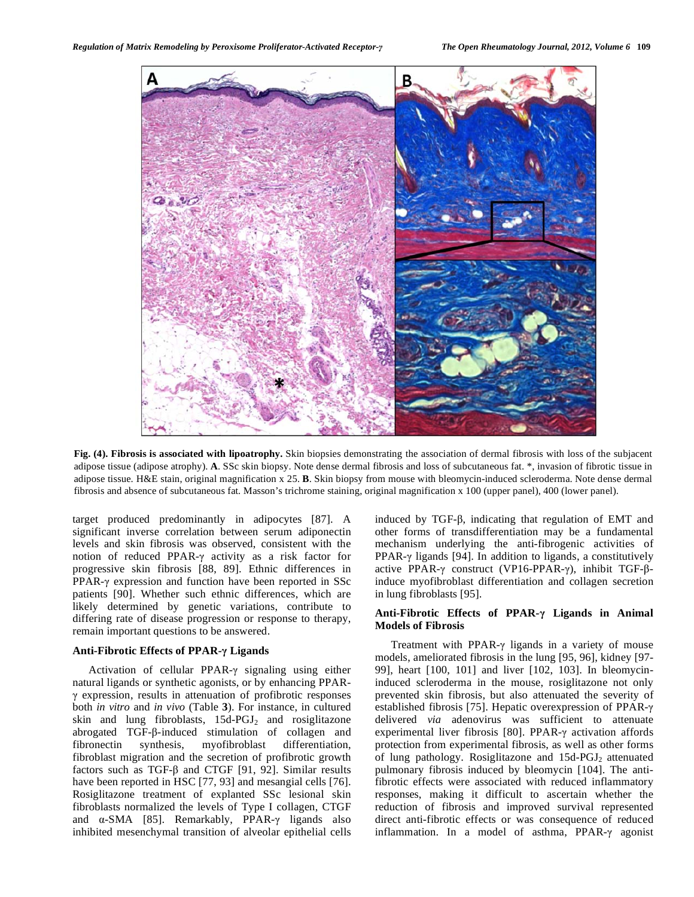

**Fig. (4). Fibrosis is associated with lipoatrophy.** Skin biopsies demonstrating the association of dermal fibrosis with loss of the subjacent adipose tissue (adipose atrophy). **A**. SSc skin biopsy. Note dense dermal fibrosis and loss of subcutaneous fat. \*, invasion of fibrotic tissue in adipose tissue. H&E stain, original magnification x 25. **B**. Skin biopsy from mouse with bleomycin-induced scleroderma. Note dense dermal fibrosis and absence of subcutaneous fat. Masson's trichrome staining, original magnification x 100 (upper panel), 400 (lower panel).

target produced predominantly in adipocytes [87]. A significant inverse correlation between serum adiponectin levels and skin fibrosis was observed, consistent with the notion of reduced PPAR- $\gamma$  activity as a risk factor for progressive skin fibrosis [88, 89]. Ethnic differences in PPAR- $\gamma$  expression and function have been reported in SSc patients [90]. Whether such ethnic differences, which are likely determined by genetic variations, contribute to differing rate of disease progression or response to therapy, remain important questions to be answered.

# **Anti-Fibrotic Effects of PPAR- Ligands**

Activation of cellular PPAR- $\gamma$  signaling using either natural ligands or synthetic agonists, or by enhancing PPAR-  $\gamma$  expression, results in attenuation of profibrotic responses both *in vitro* and *in vivo* (Table **3**). For instance, in cultured skin and lung fibroblasts,  $15d$ -PGJ<sub>2</sub> and rosiglitazone abrogated  $TGF-\beta$ -induced stimulation of collagen and fibronectin synthesis, myofibroblast differentiation, fibroblast migration and the secretion of profibrotic growth factors such as TGF- $\beta$  and CTGF [91, 92]. Similar results have been reported in HSC [77, 93] and mesangial cells [76]. Rosiglitazone treatment of explanted SSc lesional skin fibroblasts normalized the levels of Type I collagen, CTGF and  $\alpha$ -SMA [85]. Remarkably, PPAR- $\gamma$  ligands also inhibited mesenchymal transition of alveolar epithelial cells

induced by TGF- $\beta$ , indicating that regulation of EMT and other forms of transdifferentiation may be a fundamental mechanism underlying the anti-fibrogenic activities of PPAR- $\gamma$  ligands [94]. In addition to ligands, a constitutively active PPAR- $\gamma$  construct (VP16-PPAR- $\gamma$ ), inhibit TGF- $\beta$ induce myofibroblast differentiation and collagen secretion in lung fibroblasts [95].

# **Anti-Fibrotic Effects of PPAR- Ligands in Animal Models of Fibrosis**

Treatment with PPAR- $\gamma$  ligands in a variety of mouse models, ameliorated fibrosis in the lung [95, 96], kidney [97- 99], heart [100, 101] and liver [102, 103]. In bleomycininduced scleroderma in the mouse, rosiglitazone not only prevented skin fibrosis, but also attenuated the severity of established fibrosis [75]. Hepatic overexpression of PPAR delivered *via* adenovirus was sufficient to attenuate experimental liver fibrosis [80]. PPAR- $\gamma$  activation affords protection from experimental fibrosis, as well as other forms of lung pathology. Rosiglitazone and 15d-PGJ<sub>2</sub> attenuated pulmonary fibrosis induced by bleomycin [104]. The antifibrotic effects were associated with reduced inflammatory responses, making it difficult to ascertain whether the reduction of fibrosis and improved survival represented direct anti-fibrotic effects or was consequence of reduced inflammation. In a model of asthma,  $PPAR-\gamma$  agonist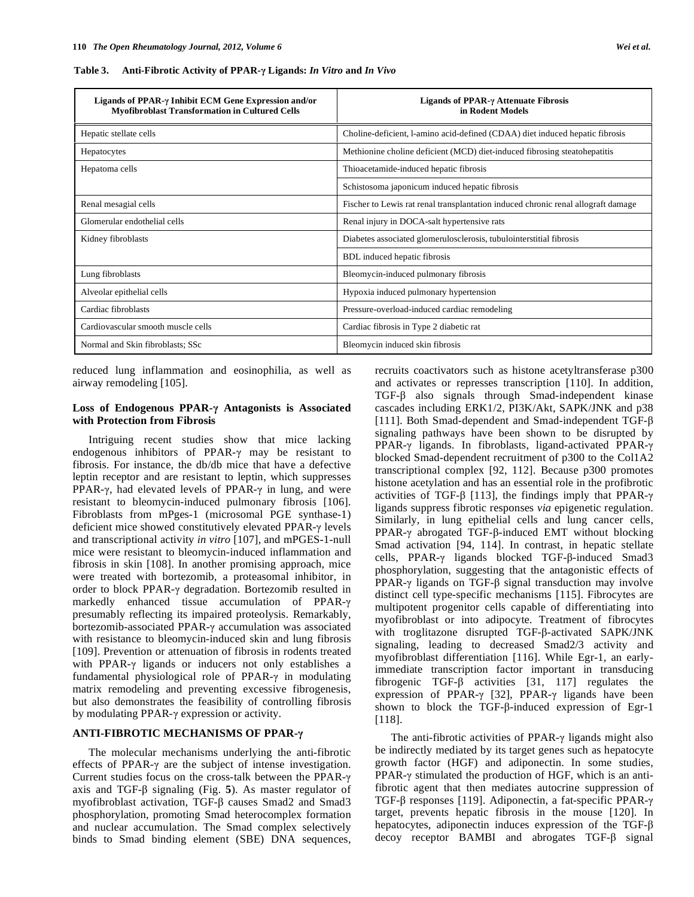| Ligands of PPAR-γ Inhibit ECM Gene Expression and/or<br><b>Myofibroblast Transformation in Cultured Cells</b> | Ligands of PPAR- $\gamma$ Attenuate Fibrosis<br>in Rodent Models                  |
|---------------------------------------------------------------------------------------------------------------|-----------------------------------------------------------------------------------|
| Hepatic stellate cells                                                                                        | Choline-deficient, l-amino acid-defined (CDAA) diet induced hepatic fibrosis      |
| Hepatocytes                                                                                                   | Methionine choline deficient (MCD) diet-induced fibrosing steatohepatitis         |
| Hepatoma cells                                                                                                | Thioacetamide-induced hepatic fibrosis                                            |
|                                                                                                               | Schistosoma japonicum induced hepatic fibrosis                                    |
| Renal mesagial cells                                                                                          | Fischer to Lewis rat renal transplantation induced chronic renal allograft damage |
| Glomerular endothelial cells                                                                                  | Renal injury in DOCA-salt hypertensive rats                                       |
| Kidney fibroblasts                                                                                            | Diabetes associated glomerulosclerosis, tubulointerstitial fibrosis               |
|                                                                                                               | BDL induced hepatic fibrosis                                                      |
| Lung fibroblasts                                                                                              | Bleomycin-induced pulmonary fibrosis                                              |
| Alveolar epithelial cells                                                                                     | Hypoxia induced pulmonary hypertension                                            |
| Cardiac fibroblasts                                                                                           | Pressure-overload-induced cardiac remodeling                                      |
| Cardiovascular smooth muscle cells                                                                            | Cardiac fibrosis in Type 2 diabetic rat                                           |
| Normal and Skin fibroblasts; SSc                                                                              | Bleomycin induced skin fibrosis                                                   |

**Table 3. Anti-Fibrotic Activity of PPAR- Ligands:** *In Vitro* **and** *In Vivo* 

reduced lung inflammation and eosinophilia, as well as airway remodeling [105].

#### **Loss of Endogenous PPAR- Antagonists is Associated with Protection from Fibrosis**

 Intriguing recent studies show that mice lacking endogenous inhibitors of PPAR- $\gamma$  may be resistant to fibrosis. For instance, the db/db mice that have a defective leptin receptor and are resistant to leptin, which suppresses PPAR- $\gamma$ , had elevated levels of PPAR- $\gamma$  in lung, and were resistant to bleomycin-induced pulmonary fibrosis [106]. Fibroblasts from mPges-1 (microsomal PGE synthase-1) deficient mice showed constitutively elevated PPAR- $\gamma$  levels and transcriptional activity *in vitro* [107], and mPGES-1-null mice were resistant to bleomycin-induced inflammation and fibrosis in skin [108]. In another promising approach, mice were treated with bortezomib, a proteasomal inhibitor, in order to block PPAR- $\gamma$  degradation. Bortezomib resulted in markedly enhanced tissue accumulation of PPAR- $\gamma$ presumably reflecting its impaired proteolysis. Remarkably, bortezomib-associated PPAR- $\gamma$  accumulation was associated with resistance to bleomycin-induced skin and lung fibrosis [109]. Prevention or attenuation of fibrosis in rodents treated with PPAR- $\gamma$  ligands or inducers not only establishes a fundamental physiological role of PPAR- $\gamma$  in modulating matrix remodeling and preventing excessive fibrogenesis, but also demonstrates the feasibility of controlling fibrosis by modulating PPAR- $\gamma$  expression or activity.

# **ANTI-FIBROTIC MECHANISMS OF PPAR-**

 The molecular mechanisms underlying the anti-fibrotic effects of PPAR- $\gamma$  are the subject of intense investigation. Current studies focus on the cross-talk between the PPAR- $\gamma$ axis and TGF- $\beta$  signaling (Fig. 5). As master regulator of myofibroblast activation, TGF- $\beta$  causes Smad2 and Smad3 phosphorylation, promoting Smad heterocomplex formation and nuclear accumulation. The Smad complex selectively binds to Smad binding element (SBE) DNA sequences,

recruits coactivators such as histone acetyltransferase p300 and activates or represses transcription [110]. In addition,  $TGF-\beta$  also signals through Smad-independent kinase cascades including ERK1/2, PI3K/Akt, SAPK/JNK and p38 [111]. Both Smad-dependent and Smad-independent TGF- $\beta$ signaling pathways have been shown to be disrupted by PPAR- $\gamma$  ligands. In fibroblasts, ligand-activated PPAR- $\gamma$ blocked Smad-dependent recruitment of p300 to the Col1A2 transcriptional complex [92, 112]. Because p300 promotes histone acetylation and has an essential role in the profibrotic activities of TGF- $\beta$  [113], the findings imply that PPAR- $\gamma$ ligands suppress fibrotic responses *via* epigenetic regulation. Similarly, in lung epithelial cells and lung cancer cells,  $PPAR-\gamma$  abrogated TGF- $\beta$ -induced EMT without blocking Smad activation [94, 114]. In contrast, in hepatic stellate cells, PPAR- $\gamma$  ligands blocked TGF- $\beta$ -induced Smad3 phosphorylation, suggesting that the antagonistic effects of PPAR- $\gamma$  ligands on TGF- $\beta$  signal transduction may involve distinct cell type-specific mechanisms [115]. Fibrocytes are multipotent progenitor cells capable of differentiating into myofibroblast or into adipocyte. Treatment of fibrocytes with troglitazone disrupted  $TGF-\beta$ -activated SAPK/JNK signaling, leading to decreased Smad2/3 activity and myofibroblast differentiation [116]. While Egr-1, an earlyimmediate transcription factor important in transducing fibrogenic TGF- $\beta$  activities [31, 117] regulates the expression of PPAR- $\gamma$  [32], PPAR- $\gamma$  ligands have been shown to block the TGF- $\beta$ -induced expression of Egr-1 [118].

The anti-fibrotic activities of PPAR- $\gamma$  ligands might also be indirectly mediated by its target genes such as hepatocyte growth factor (HGF) and adiponectin. In some studies, PPAR- $\gamma$  stimulated the production of HGF, which is an antifibrotic agent that then mediates autocrine suppression of TGF- $\beta$  responses [119]. Adiponectin, a fat-specific PPAR- $\gamma$ target, prevents hepatic fibrosis in the mouse [120]. In hepatocytes, adiponectin induces expression of the TGF- $\beta$ decoy receptor BAMBI and abrogates TGF- $\beta$  signal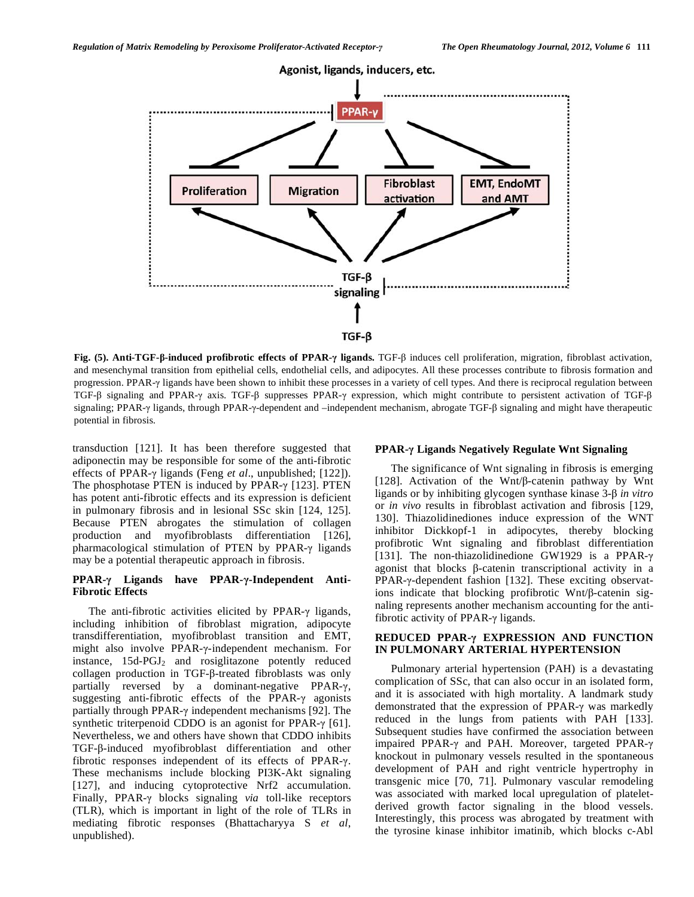

**Fig. (5). Anti-TGF-β-induced profibrotic effects of PPAR-γ ligands. TGF-β induces cell proliferation, migration, fibroblast activation,** and mesenchymal transition from epithelial cells, endothelial cells, and adipocytes. All these processes contribute to fibrosis formation and progression. PPAR- $\gamma$  ligands have been shown to inhibit these processes in a variety of cell types. And there is reciprocal regulation between TGF- $\beta$  signaling and PPAR- $\gamma$  axis. TGF- $\beta$  suppresses PPAR- $\gamma$  expression, which might contribute to persistent activation of TGF- $\beta$ signaling; PPAR- $\gamma$  ligands, through PPAR- $\gamma$ -dependent and –independent mechanism, abrogate TGF- $\beta$  signaling and might have therapeutic potential in fibrosis.

transduction [121]. It has been therefore suggested that adiponectin may be responsible for some of the anti-fibrotic effects of PPAR-γ ligands (Feng *et al.*, unpublished; [122]). The phosphotase PTEN is induced by PPAR- $\gamma$  [123]. PTEN has potent anti-fibrotic effects and its expression is deficient in pulmonary fibrosis and in lesional SSc skin [124, 125]. Because PTEN abrogates the stimulation of collagen production and myofibroblasts differentiation [126], pharmacological stimulation of PTEN by PPAR- $\gamma$  ligands may be a potential therapeutic approach in fibrosis.

# **PPAR-- Ligands have PPAR---Independent Anti-Fibrotic Effects**

The anti-fibrotic activities elicited by  $PPAR-\gamma$  ligands, including inhibition of fibroblast migration, adipocyte transdifferentiation, myofibroblast transition and EMT, might also involve PPAR-y-independent mechanism. For instance, 15d-PGJ<sub>2</sub> and rosiglitazone potently reduced collagen production in TGF- $\beta$ -treated fibroblasts was only partially reversed by a dominant-negative PPAR- $\gamma$ , suggesting anti-fibrotic effects of the PPAR- $\gamma$  agonists partially through PPAR- $\gamma$  independent mechanisms [92]. The synthetic triterpenoid CDDO is an agonist for PPAR- $\gamma$  [61]. Nevertheless, we and others have shown that CDDO inhibits TGF- $\beta$ -induced myofibroblast differentiation and other fibrotic responses independent of its effects of PPAR- $\gamma$ . These mechanisms include blocking PI3K-Akt signaling [127], and inducing cytoprotective Nrf2 accumulation. Finally, PPAR- $\gamma$  blocks signaling *via* toll-like receptors (TLR), which is important in light of the role of TLRs in mediating fibrotic responses (Bhattacharyya S *et al*, unpublished).

#### **PPAR-- Ligands Negatively Regulate Wnt Signaling**

 The significance of Wnt signaling in fibrosis is emerging [128]. Activation of the Wnt/ $\beta$ -catenin pathway by Wnt ligands or by inhibiting glycogen synthase kinase 3- $\beta$  *in vitro* or *in vivo* results in fibroblast activation and fibrosis [129, 130]. Thiazolidinediones induce expression of the WNT inhibitor Dickkopf-1 in adipocytes, thereby blocking profibrotic Wnt signaling and fibroblast differentiation [131]. The non-thiazolidinedione GW1929 is a PPAR- $\gamma$ agonist that blocks  $\beta$ -catenin transcriptional activity in a PPAR-y-dependent fashion [132]. These exciting observations indicate that blocking profibrotic Wnt/ $\beta$ -catenin signaling represents another mechanism accounting for the antifibrotic activity of PPAR- $\gamma$  ligands.

#### **REDUCED PPAR-- EXPRESSION AND FUNCTION IN PULMONARY ARTERIAL HYPERTENSION**

 Pulmonary arterial hypertension (PAH) is a devastating complication of SSc, that can also occur in an isolated form, and it is associated with high mortality. A landmark study demonstrated that the expression of PPAR- $\gamma$  was markedly reduced in the lungs from patients with PAH [133]. Subsequent studies have confirmed the association between impaired PPAR- $\gamma$  and PAH. Moreover, targeted PPAR- $\gamma$ knockout in pulmonary vessels resulted in the spontaneous development of PAH and right ventricle hypertrophy in transgenic mice [70, 71]. Pulmonary vascular remodeling was associated with marked local upregulation of plateletderived growth factor signaling in the blood vessels. Interestingly, this process was abrogated by treatment with the tyrosine kinase inhibitor imatinib, which blocks c-Abl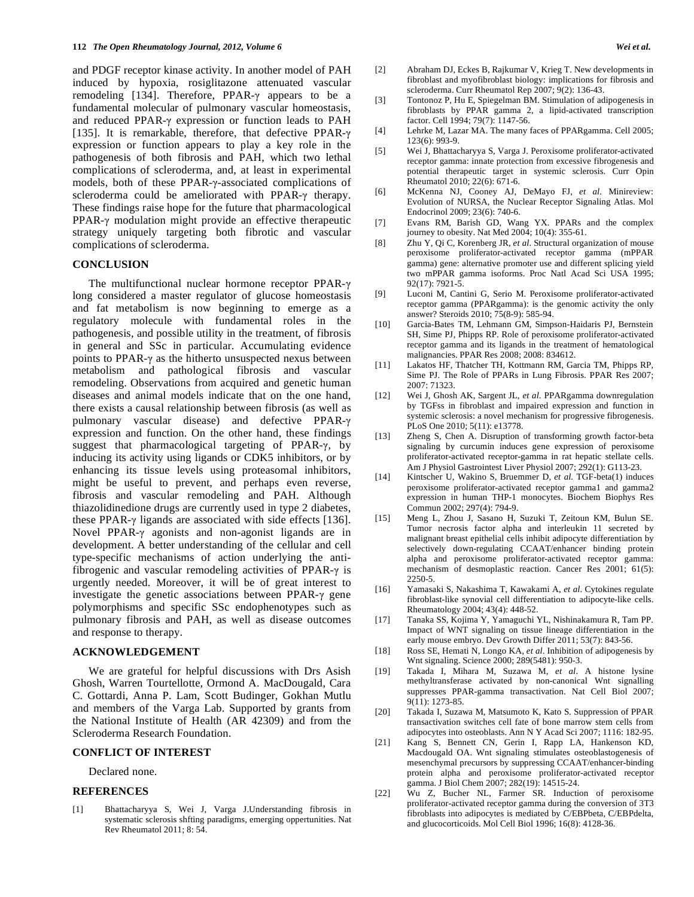and PDGF receptor kinase activity. In another model of PAH induced by hypoxia, rosiglitazone attenuated vascular remodeling [134]. Therefore, PPAR- $\gamma$  appears to be a fundamental molecular of pulmonary vascular homeostasis, and reduced PPAR- $\gamma$  expression or function leads to PAH [135]. It is remarkable, therefore, that defective PPAR- $\gamma$ expression or function appears to play a key role in the pathogenesis of both fibrosis and PAH, which two lethal complications of scleroderma, and, at least in experimental models, both of these PPAR- $\gamma$ -associated complications of scleroderma could be ameliorated with PPAR- $\gamma$  therapy. These findings raise hope for the future that pharmacological  $PPAR-<sub>\gamma</sub>$  modulation might provide an effective therapeutic strategy uniquely targeting both fibrotic and vascular complications of scleroderma.

#### **CONCLUSION**

The multifunctional nuclear hormone receptor PPAR- $\gamma$ long considered a master regulator of glucose homeostasis and fat metabolism is now beginning to emerge as a regulatory molecule with fundamental roles in the pathogenesis, and possible utility in the treatment, of fibrosis in general and SSc in particular. Accumulating evidence points to PPAR- $\gamma$  as the hitherto unsuspected nexus between metabolism and pathological fibrosis and vascular remodeling. Observations from acquired and genetic human diseases and animal models indicate that on the one hand, there exists a causal relationship between fibrosis (as well as pulmonary vascular disease) and defective PPAR expression and function. On the other hand, these findings suggest that pharmacological targeting of PPAR- $\gamma$ , by inducing its activity using ligands or CDK5 inhibitors, or by enhancing its tissue levels using proteasomal inhibitors, might be useful to prevent, and perhaps even reverse, fibrosis and vascular remodeling and PAH. Although thiazolidinedione drugs are currently used in type 2 diabetes, these PPAR- $\gamma$  ligands are associated with side effects [136]. Novel PPAR- $\gamma$  agonists and non-agonist ligands are in development. A better understanding of the cellular and cell type-specific mechanisms of action underlying the antifibrogenic and vascular remodeling activities of PPAR- $\gamma$  is urgently needed. Moreover, it will be of great interest to investigate the genetic associations between PPAR- $\gamma$  gene polymorphisms and specific SSc endophenotypes such as pulmonary fibrosis and PAH, as well as disease outcomes and response to therapy.

# **ACKNOWLEDGEMENT**

 We are grateful for helpful discussions with Drs Asish Ghosh, Warren Tourtellotte, Ormond A. MacDougald, Cara C. Gottardi, Anna P. Lam, Scott Budinger, Gokhan Mutlu and members of the Varga Lab. Supported by grants from the National Institute of Health (AR 42309) and from the Scleroderma Research Foundation.

# **CONFLICT OF INTEREST**

Declared none.

#### **REFERENCES**

[1] Bhattacharyya S, Wei J, Varga J.Understanding fibrosis in systematic sclerosis shfting paradigms, emerging oppertunities. Nat Rev Rheumatol 2011; 8: 54.

- [2] Abraham DJ, Eckes B, Rajkumar V, Krieg T. New developments in fibroblast and myofibroblast biology: implications for fibrosis and scleroderma. Curr Rheumatol Rep 2007; 9(2): 136-43.
- [3] Tontonoz P, Hu E, Spiegelman BM. Stimulation of adipogenesis in fibroblasts by PPAR gamma 2, a lipid-activated transcription factor. Cell 1994; 79(7): 1147-56.
- [4] Lehrke M, Lazar MA. The many faces of PPARgamma. Cell 2005; 123(6): 993-9.
- [5] Wei J, Bhattacharyya S, Varga J. Peroxisome proliferator-activated receptor gamma: innate protection from excessive fibrogenesis and potential therapeutic target in systemic sclerosis. Curr Opin Rheumatol 2010; 22(6): 671-6.
- [6] McKenna NJ, Cooney AJ, DeMayo FJ, *et al*. Minireview: Evolution of NURSA, the Nuclear Receptor Signaling Atlas. Mol Endocrinol 2009; 23(6): 740-6.
- [7] Evans RM, Barish GD, Wang YX. PPARs and the complex journey to obesity. Nat Med 2004; 10(4): 355-61.
- [8] Zhu Y, Qi C, Korenberg JR, *et al*. Structural organization of mouse peroxisome proliferator-activated receptor gamma (mPPAR gamma) gene: alternative promoter use and different splicing yield two mPPAR gamma isoforms. Proc Natl Acad Sci USA 1995; 92(17): 7921-5.
- [9] Luconi M, Cantini G, Serio M. Peroxisome proliferator-activated receptor gamma (PPARgamma): is the genomic activity the only answer? Steroids 2010; 75(8-9): 585-94.
- [10] Garcia-Bates TM, Lehmann GM, Simpson-Haidaris PJ, Bernstein SH, Sime PJ, Phipps RP. Role of peroxisome proliferator-activated receptor gamma and its ligands in the treatment of hematological malignancies. PPAR Res 2008; 2008: 834612.
- [11] Lakatos HF, Thatcher TH, Kottmann RM, Garcia TM, Phipps RP, Sime PJ. The Role of PPARs in Lung Fibrosis. PPAR Res 2007; 2007: 71323.
- [12] Wei J, Ghosh AK, Sargent JL, *et al*. PPARgamma downregulation by TGFss in fibroblast and impaired expression and function in systemic sclerosis: a novel mechanism for progressive fibrogenesis. PLoS One 2010; 5(11): e13778.
- [13] Zheng S, Chen A. Disruption of transforming growth factor-beta signaling by curcumin induces gene expression of peroxisome proliferator-activated receptor-gamma in rat hepatic stellate cells. Am J Physiol Gastrointest Liver Physiol 2007; 292(1): G113-23.
- [14] Kintscher U, Wakino S, Bruemmer D, *et al.* TGF-beta(1) induces peroxisome proliferator-activated receptor gamma1 and gamma2 expression in human THP-1 monocytes. Biochem Biophys Res Commun 2002; 297(4): 794-9.
- [15] Meng L, Zhou J, Sasano H, Suzuki T, Zeitoun KM, Bulun SE. Tumor necrosis factor alpha and interleukin 11 secreted by malignant breast epithelial cells inhibit adipocyte differentiation by selectively down-regulating CCAAT/enhancer binding protein alpha and peroxisome proliferator-activated receptor gamma: mechanism of desmoplastic reaction. Cancer Res 2001; 61(5): 2250-5.
- [16] Yamasaki S, Nakashima T, Kawakami A, *et al*. Cytokines regulate fibroblast-like synovial cell differentiation to adipocyte-like cells. Rheumatology 2004; 43(4): 448-52.
- [17] Tanaka SS, Kojima Y, Yamaguchi YL, Nishinakamura R, Tam PP. Impact of WNT signaling on tissue lineage differentiation in the early mouse embryo. Dev Growth Differ 2011; 53(7): 843-56.
- [18] Ross SE, Hemati N, Longo KA, *et al*. Inhibition of adipogenesis by Wnt signaling. Science 2000; 289(5481): 950-3.
- [19] Takada I, Mihara M, Suzawa M, *et al*. A histone lysine methyltransferase activated by non-canonical Wnt signalling suppresses PPAR-gamma transactivation. Nat Cell Biol 2007; 9(11): 1273-85.
- [20] Takada I, Suzawa M, Matsumoto K, Kato S. Suppression of PPAR transactivation switches cell fate of bone marrow stem cells from adipocytes into osteoblasts. Ann N Y Acad Sci 2007; 1116: 182-95.
- [21] Kang S, Bennett CN, Gerin I, Rapp LA, Hankenson KD, Macdougald OA. Wnt signaling stimulates osteoblastogenesis of mesenchymal precursors by suppressing CCAAT/enhancer-binding protein alpha and peroxisome proliferator-activated receptor gamma. J Biol Chem 2007; 282(19): 14515-24.
- [22] Wu Z, Bucher NL, Farmer SR. Induction of peroxisome proliferator-activated receptor gamma during the conversion of 3T3 fibroblasts into adipocytes is mediated by C/EBPbeta, C/EBPdelta, and glucocorticoids. Mol Cell Biol 1996; 16(8): 4128-36.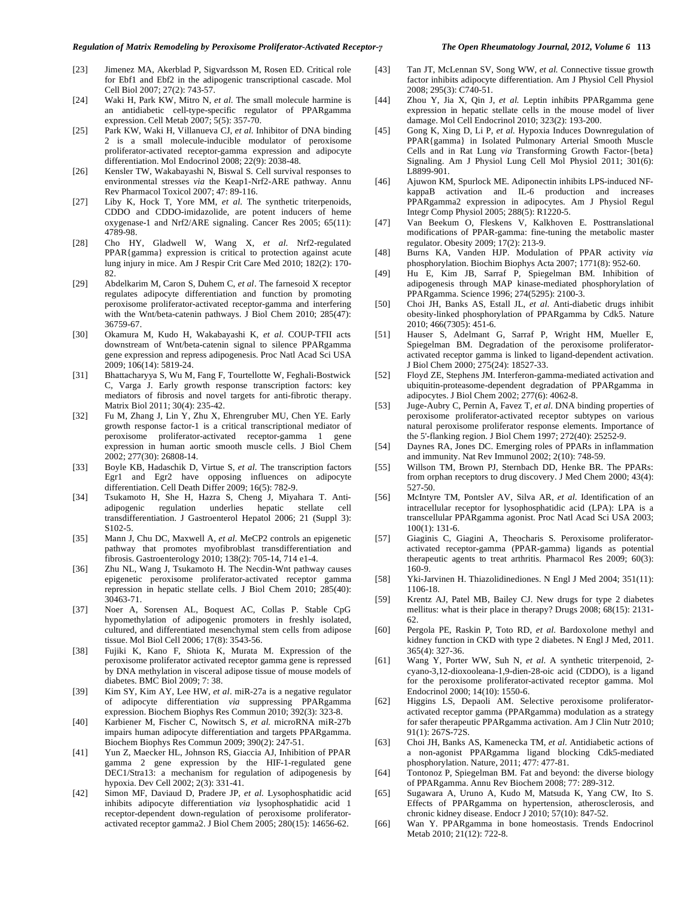- [23] Jimenez MA, Akerblad P, Sigvardsson M, Rosen ED. Critical role for Ebf1 and Ebf2 in the adipogenic transcriptional cascade. Mol Cell Biol 2007; 27(2): 743-57.
- [24] Waki H, Park KW, Mitro N, *et al*. The small molecule harmine is an antidiabetic cell-type-specific regulator of PPARgamma expression. Cell Metab 2007; 5(5): 357-70.
- [25] Park KW, Waki H, Villanueva CJ, *et al*. Inhibitor of DNA binding 2 is a small molecule-inducible modulator of peroxisome proliferator-activated receptor-gamma expression and adipocyte differentiation. Mol Endocrinol 2008; 22(9): 2038-48.
- [26] Kensler TW, Wakabayashi N, Biswal S. Cell survival responses to environmental stresses *via* the Keap1-Nrf2-ARE pathway. Annu Rev Pharmacol Toxicol 2007; 47: 89-116.
- [27] Liby K, Hock T, Yore MM, *et al*. The synthetic triterpenoids, CDDO and CDDO-imidazolide, are potent inducers of heme oxygenase-1 and Nrf2/ARE signaling. Cancer Res 2005; 65(11): 4789-98.
- [28] Cho HY, Gladwell W, Wang X, *et al*. Nrf2-regulated PPAR{gamma} expression is critical to protection against acute lung injury in mice. Am J Respir Crit Care Med 2010; 182(2): 170- 82.
- [29] Abdelkarim M, Caron S, Duhem C, *et al*. The farnesoid X receptor regulates adipocyte differentiation and function by promoting peroxisome proliferator-activated receptor-gamma and interfering with the Wnt/beta-catenin pathways. J Biol Chem 2010; 285(47): 36759-67.
- [30] Okamura M, Kudo H, Wakabayashi K, *et al*. COUP-TFII acts downstream of Wnt/beta-catenin signal to silence PPARgamma gene expression and repress adipogenesis. Proc Natl Acad Sci USA 2009; 106(14): 5819-24.
- [31] Bhattacharyya S, Wu M, Fang F, Tourtellotte W, Feghali-Bostwick C, Varga J. Early growth response transcription factors: key mediators of fibrosis and novel targets for anti-fibrotic therapy. Matrix Biol 2011; 30(4): 235-42.
- [32] Fu M, Zhang J, Lin Y, Zhu X, Ehrengruber MU, Chen YE. Early growth response factor-1 is a critical transcriptional mediator of peroxisome proliferator-activated receptor-gamma 1 gene expression in human aortic smooth muscle cells. J Biol Chem 2002; 277(30): 26808-14.
- [33] Boyle KB, Hadaschik D, Virtue S, *et al*. The transcription factors Egr1 and Egr2 have opposing influences on adipocyte differentiation. Cell Death Differ 2009; 16(5): 782-9.
- [34] Tsukamoto H, She H, Hazra S, Cheng J, Miyahara T. Antiadipogenic regulation underlies hepatic stellate cell transdifferentiation. J Gastroenterol Hepatol 2006; 21 (Suppl 3): S102-5.
- [35] Mann J, Chu DC, Maxwell A, *et al*. MeCP2 controls an epigenetic pathway that promotes myofibroblast transdifferentiation and fibrosis. Gastroenterology 2010; 138(2): 705-14, 714 e1-4.
- [36] Zhu NL, Wang J, Tsukamoto H. The Necdin-Wnt pathway causes epigenetic peroxisome proliferator-activated receptor gamma repression in hepatic stellate cells. J Biol Chem 2010; 285(40): 30463-71.
- [37] Noer A, Sorensen AL, Boquest AC, Collas P. Stable CpG hypomethylation of adipogenic promoters in freshly isolated, cultured, and differentiated mesenchymal stem cells from adipose tissue. Mol Biol Cell 2006; 17(8): 3543-56.
- [38] Fujiki K, Kano F, Shiota K, Murata M. Expression of the peroxisome proliferator activated receptor gamma gene is repressed by DNA methylation in visceral adipose tissue of mouse models of diabetes. BMC Biol 2009; 7: 38.
- [39] Kim SY, Kim AY, Lee HW, *et al*. miR-27a is a negative regulator of adipocyte differentiation *via* suppressing PPARgamma expression. Biochem Biophys Res Commun 2010; 392(3): 323-8.
- [40] Karbiener M, Fischer C, Nowitsch S, *et al.* microRNA miR-27b impairs human adipocyte differentiation and targets PPARgamma. Biochem Biophys Res Commun 2009; 390(2): 247-51.
- [41] Yun Z, Maecker HL, Johnson RS, Giaccia AJ, Inhibition of PPAR gamma 2 gene expression by the HIF-1-regulated gene DEC1/Stra13: a mechanism for regulation of adipogenesis by hypoxia. Dev Cell 2002; 2(3): 331-41.
- [42] Simon MF, Daviaud D, Pradere JP, *et al.* Lysophosphatidic acid inhibits adipocyte differentiation *via* lysophosphatidic acid 1 receptor-dependent down-regulation of peroxisome proliferatoractivated receptor gamma2. J Biol Chem 2005; 280(15): 14656-62.
- [43] Tan JT, McLennan SV, Song WW, *et al.* Connective tissue growth factor inhibits adipocyte differentiation. Am J Physiol Cell Physiol 2008; 295(3): C740-51.
- [44] Zhou Y, Jia X, Qin J, *et al.* Leptin inhibits PPARgamma gene expression in hepatic stellate cells in the mouse model of liver damage. Mol Cell Endocrinol 2010; 323(2): 193-200.
- [45] Gong K, Xing D, Li P, *et al.* Hypoxia Induces Downregulation of PPAR{gamma} in Isolated Pulmonary Arterial Smooth Muscle Cells and in Rat Lung *via* Transforming Growth Factor-{beta} Signaling. Am J Physiol Lung Cell Mol Physiol 2011; 301(6): L8899-901.
- [46] Ajuwon KM, Spurlock ME. Adiponectin inhibits LPS-induced NFkappaB activation and IL-6 production and increases PPARgamma2 expression in adipocytes. Am J Physiol Regul Integr Comp Physiol 2005; 288(5): R1220-5.
- [47] Van Beekum O, Fleskens V, Kalkhoven E. Posttranslational modifications of PPAR-gamma: fine-tuning the metabolic master regulator. Obesity 2009; 17(2): 213-9.
- [48] Burns KA, Vanden HJP. Modulation of PPAR activity *via*  phosphorylation. Biochim Biophys Acta 2007; 1771(8): 952-60.
- [49] Hu E, Kim JB, Sarraf P, Spiegelman BM. Inhibition of adipogenesis through MAP kinase-mediated phosphorylation of PPARgamma. Science 1996; 274(5295): 2100-3.
- [50] Choi JH, Banks AS, Estall JL, *et al*. Anti-diabetic drugs inhibit obesity-linked phosphorylation of PPARgamma by Cdk5. Nature 2010; 466(7305): 451-6.
- [51] Hauser S, Adelmant G, Sarraf P, Wright HM, Mueller E, Spiegelman BM. Degradation of the peroxisome proliferatoractivated receptor gamma is linked to ligand-dependent activation. J Biol Chem 2000; 275(24): 18527-33.
- [52] Floyd ZE, Stephens JM. Interferon-gamma-mediated activation and ubiquitin-proteasome-dependent degradation of PPARgamma in adipocytes. J Biol Chem 2002; 277(6): 4062-8.
- [53] Juge-Aubry C, Pernin A, Favez T, *et al*. DNA binding properties of peroxisome proliferator-activated receptor subtypes on various natural peroxisome proliferator response elements. Importance of the 5'-flanking region. J Biol Chem 1997; 272(40): 25252-9.
- [54] Daynes RA, Jones DC. Emerging roles of PPARs in inflammation and immunity. Nat Rev Immunol 2002; 2(10): 748-59.
- [55] Willson TM, Brown PJ, Sternbach DD, Henke BR. The PPARs: from orphan receptors to drug discovery. J Med Chem 2000; 43(4): 527-50.
- [56] McIntyre TM, Pontsler AV, Silva AR, *et al*. Identification of an intracellular receptor for lysophosphatidic acid (LPA): LPA is a transcellular PPARgamma agonist. Proc Natl Acad Sci USA 2003; 100(1): 131-6.
- [57] Giaginis C, Giagini A, Theocharis S. Peroxisome proliferatoractivated receptor-gamma (PPAR-gamma) ligands as potential therapeutic agents to treat arthritis. Pharmacol Res 2009; 60(3): 160-9.
- [58] Yki-Jarvinen H. Thiazolidinediones. N Engl J Med 2004; 351(11): 1106-18.
- [59] Krentz AJ, Patel MB, Bailey CJ. New drugs for type 2 diabetes mellitus: what is their place in therapy? Drugs 2008; 68(15): 2131- 62.
- [60] Pergola PE, Raskin P, Toto RD, *et al*. Bardoxolone methyl and kidney function in CKD with type 2 diabetes. N Engl J Med, 2011. 365(4): 327-36.
- [61] Wang Y, Porter WW, Suh N, *et al*. A synthetic triterpenoid, 2 cyano-3,12-dioxooleana-1,9-dien-28-oic acid (CDDO), is a ligand for the peroxisome proliferator-activated receptor gamma. Mol Endocrinol 2000; 14(10): 1550-6.
- [62] Higgins LS, Depaoli AM. Selective peroxisome proliferatoractivated receptor gamma (PPARgamma) modulation as a strategy for safer therapeutic PPARgamma activation. Am J Clin Nutr 2010; 91(1): 267S-72S.
- [63] Choi JH, Banks AS, Kamenecka TM, *et al*. Antidiabetic actions of a non-agonist PPARgamma ligand blocking Cdk5-mediated phosphorylation. Nature, 2011; 477: 477-81.
- [64] Tontonoz P, Spiegelman BM. Fat and beyond: the diverse biology of PPARgamma. Annu Rev Biochem 2008; 77: 289-312.
- [65] Sugawara A, Uruno A, Kudo M, Matsuda K, Yang CW, Ito S. Effects of PPARgamma on hypertension, atherosclerosis, and chronic kidney disease. Endocr J 2010; 57(10): 847-52.
- [66] Wan Y. PPARgamma in bone homeostasis. Trends Endocrinol Metab 2010; 21(12): 722-8.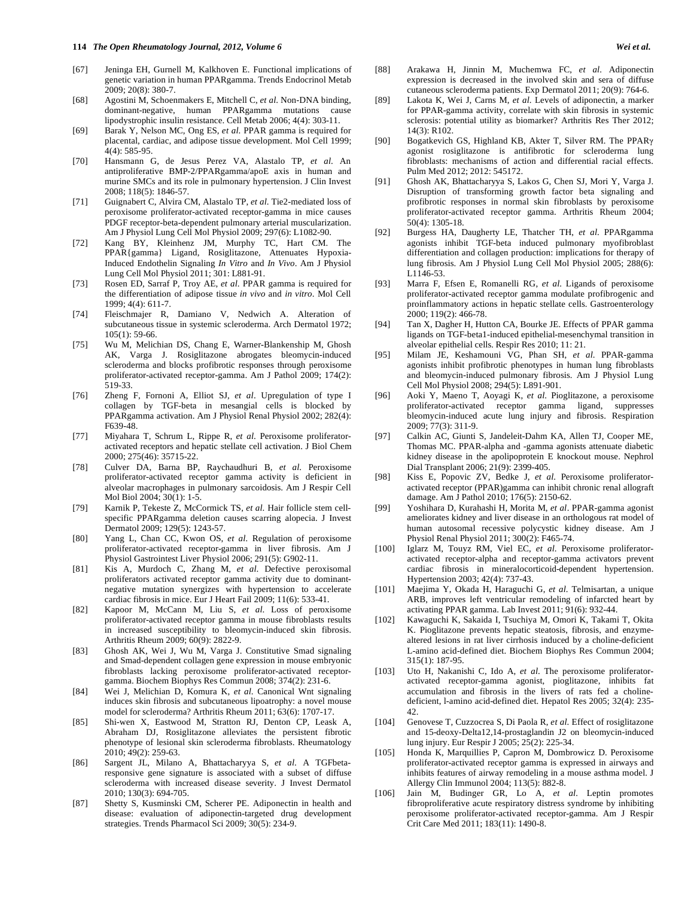- [67] Jeninga EH, Gurnell M, Kalkhoven E. Functional implications of genetic variation in human PPARgamma. Trends Endocrinol Metab 2009; 20(8): 380-7.
- [68] Agostini M, Schoenmakers E, Mitchell C, *et al*. Non-DNA binding, dominant-negative, human PPARgamma mutations cause lipodystrophic insulin resistance. Cell Metab 2006; 4(4): 303-11.
- [69] Barak Y, Nelson MC, Ong ES, *et al*. PPAR gamma is required for placental, cardiac, and adipose tissue development. Mol Cell 1999; 4(4): 585-95.
- [70] Hansmann G, de Jesus Perez VA, Alastalo TP, *et al*. An antiproliferative BMP-2/PPARgamma/apoE axis in human and murine SMCs and its role in pulmonary hypertension. J Clin Invest 2008; 118(5): 1846-57.
- [71] Guignabert C, Alvira CM, Alastalo TP, *et al*. Tie2-mediated loss of peroxisome proliferator-activated receptor-gamma in mice causes PDGF receptor-beta-dependent pulmonary arterial muscularization. Am J Physiol Lung Cell Mol Physiol 2009; 297(6): L1082-90.
- [72] Kang BY, Kleinhenz JM, Murphy TC, Hart CM. The PPAR{gamma} Ligand, Rosiglitazone, Attenuates Hypoxia-Induced Endothelin Signaling *In Vitro* and *In Vivo*. Am J Physiol Lung Cell Mol Physiol 2011; 301: L881-91.
- [73] Rosen ED, Sarraf P, Troy AE, *et al*. PPAR gamma is required for the differentiation of adipose tissue *in vivo* and *in vitro*. Mol Cell 1999; 4(4): 611-7.
- [74] Fleischmajer R, Damiano V, Nedwich A. Alteration of subcutaneous tissue in systemic scleroderma. Arch Dermatol 1972; 105(1): 59-66.
- [75] Wu M, Melichian DS, Chang E, Warner-Blankenship M, Ghosh AK, Varga J. Rosiglitazone abrogates bleomycin-induced scleroderma and blocks profibrotic responses through peroxisome proliferator-activated receptor-gamma. Am J Pathol 2009; 174(2): 519-33.
- [76] Zheng F, Fornoni A, Elliot SJ, *et al*. Upregulation of type I collagen by TGF-beta in mesangial cells is blocked by PPARgamma activation. Am J Physiol Renal Physiol 2002; 282(4): F639-48.
- [77] Miyahara T, Schrum L, Rippe R, *et al*. Peroxisome proliferatoractivated receptors and hepatic stellate cell activation. J Biol Chem 2000; 275(46): 35715-22.
- [78] Culver DA, Barna BP, Raychaudhuri B, *et al*. Peroxisome proliferator-activated receptor gamma activity is deficient in alveolar macrophages in pulmonary sarcoidosis. Am J Respir Cell Mol Biol 2004; 30(1): 1-5.
- [79] Karnik P, Tekeste Z, McCormick TS, *et al*. Hair follicle stem cellspecific PPARgamma deletion causes scarring alopecia. J Invest Dermatol 2009; 129(5): 1243-57.
- [80] Yang L, Chan CC, Kwon OS, *et al.* Regulation of peroxisome proliferator-activated receptor-gamma in liver fibrosis. Am J Physiol Gastrointest Liver Physiol 2006; 291(5): G902-11.
- [81] Kis A, Murdoch C, Zhang M, *et al*. Defective peroxisomal proliferators activated receptor gamma activity due to dominantnegative mutation synergizes with hypertension to accelerate cardiac fibrosis in mice. Eur J Heart Fail 2009; 11(6): 533-41.
- [82] Kapoor M, McCann M, Liu S, *et al*. Loss of peroxisome proliferator-activated receptor gamma in mouse fibroblasts results in increased susceptibility to bleomycin-induced skin fibrosis. Arthritis Rheum 2009; 60(9): 2822-9.
- [83] Ghosh AK, Wei J, Wu M, Varga J. Constitutive Smad signaling and Smad-dependent collagen gene expression in mouse embryonic fibroblasts lacking peroxisome proliferator-activated receptorgamma. Biochem Biophys Res Commun 2008; 374(2): 231-6.
- [84] Wei J, Melichian D, Komura K, *et al*. Canonical Wnt signaling induces skin fibrosis and subcutaneous lipoatrophy: a novel mouse model for scleroderma? Arthritis Rheum 2011; 63(6): 1707-17.
- [85] Shi-wen X, Eastwood M, Stratton RJ, Denton CP, Leask A, Abraham DJ, Rosiglitazone alleviates the persistent fibrotic phenotype of lesional skin scleroderma fibroblasts. Rheumatology 2010; 49(2): 259-63.
- [86] Sargent JL, Milano A, Bhattacharyya S, *et al*. A TGFbetaresponsive gene signature is associated with a subset of diffuse scleroderma with increased disease severity. J Invest Dermatol 2010; 130(3): 694-705.
- [87] Shetty S, Kusminski CM, Scherer PE. Adiponectin in health and disease: evaluation of adiponectin-targeted drug development strategies. Trends Pharmacol Sci 2009; 30(5): 234-9.
- [88] Arakawa H, Jinnin M, Muchemwa FC, *et al*. Adiponectin expression is decreased in the involved skin and sera of diffuse cutaneous scleroderma patients. Exp Dermatol 2011; 20(9): 764-6.
- [89] Lakota K, Wei J, Carns M, *et al*. Levels of adiponectin, a marker for PPAR-gamma activity, correlate with skin fibrosis in systemic sclerosis: potential utility as biomarker? Arthritis Res Ther 2012; 14(3): R102.
- [90] Bogatkevich GS, Highland KB, Akter T, Silver RM. The PPAR agonist rosiglitazone is antifibrotic for scleroderma lung fibroblasts: mechanisms of action and differential racial effects. Pulm Med 2012; 2012: 545172.
- [91] Ghosh AK, Bhattacharyya S, Lakos G, Chen SJ, Mori Y, Varga J. Disruption of transforming growth factor beta signaling and profibrotic responses in normal skin fibroblasts by peroxisome proliferator-activated receptor gamma. Arthritis Rheum 2004;  $50(4)$ : 1305-18.
- [92] Burgess HA, Daugherty LE, Thatcher TH, *et al*. PPARgamma agonists inhibit TGF-beta induced pulmonary myofibroblast differentiation and collagen production: implications for therapy of lung fibrosis. Am J Physiol Lung Cell Mol Physiol 2005; 288(6): L1146-53.
- [93] Marra F, Efsen E, Romanelli RG, *et al*. Ligands of peroxisome proliferator-activated receptor gamma modulate profibrogenic and proinflammatory actions in hepatic stellate cells. Gastroenterology 2000; 119(2): 466-78.
- [94] Tan X, Dagher H, Hutton CA, Bourke JE. Effects of PPAR gamma ligands on TGF-beta1-induced epithelial-mesenchymal transition in alveolar epithelial cells. Respir Res 2010; 11: 21.
- [95] Milam JE, Keshamouni VG, Phan SH, *et al*. PPAR-gamma agonists inhibit profibrotic phenotypes in human lung fibroblasts and bleomycin-induced pulmonary fibrosis. Am J Physiol Lung Cell Mol Physiol 2008; 294(5): L891-901.
- [96] Aoki Y, Maeno T, Aoyagi K, *et al*. Pioglitazone, a peroxisome proliferator-activated receptor gamma ligand, suppresses bleomycin-induced acute lung injury and fibrosis. Respiration 2009; 77(3): 311-9.
- [97] Calkin AC, Giunti S, Jandeleit-Dahm KA, Allen TJ, Cooper ME, Thomas MC. PPAR-alpha and -gamma agonists attenuate diabetic kidney disease in the apolipoprotein E knockout mouse. Nephrol Dial Transplant 2006; 21(9): 2399-405.
- [98] Kiss E, Popovic ZV, Bedke J, *et al*. Peroxisome proliferatoractivated receptor (PPAR)gamma can inhibit chronic renal allograft damage. Am J Pathol 2010; 176(5): 2150-62.
- [99] Yoshihara D, Kurahashi H, Morita M, *et al*. PPAR-gamma agonist ameliorates kidney and liver disease in an orthologous rat model of human autosomal recessive polycystic kidney disease. Am J Physiol Renal Physiol 2011; 300(2): F465-74.
- [100] Iglarz M, Touyz RM, Viel EC, *et al*. Peroxisome proliferatoractivated receptor-alpha and receptor-gamma activators prevent cardiac fibrosis in mineralocorticoid-dependent hypertension. Hypertension 2003; 42(4): 737-43.
- [101] Maejima Y, Okada H, Haraguchi G, *et al*. Telmisartan, a unique ARB, improves left ventricular remodeling of infarcted heart by activating PPAR gamma. Lab Invest 2011; 91(6): 932-44.
- [102] Kawaguchi K, Sakaida I, Tsuchiya M, Omori K, Takami T, Okita K. Pioglitazone prevents hepatic steatosis, fibrosis, and enzymealtered lesions in rat liver cirrhosis induced by a choline-deficient L-amino acid-defined diet. Biochem Biophys Res Commun 2004; 315(1): 187-95.
- [103] Uto H, Nakanishi C, Ido A, *et al*. The peroxisome proliferatoractivated receptor-gamma agonist, pioglitazone, inhibits fat accumulation and fibrosis in the livers of rats fed a cholinedeficient, l-amino acid-defined diet. Hepatol Res 2005; 32(4): 235- 42.
- [104] Genovese T, Cuzzocrea S, Di Paola R, *et al*. Effect of rosiglitazone and 15-deoxy-Delta12,14-prostaglandin J2 on bleomycin-induced lung injury. Eur Respir J  $2005$ ;  $25(2)$ : 225-34.
- [105] Honda K, Marquillies P, Capron M, Dombrowicz D. Peroxisome proliferator-activated receptor gamma is expressed in airways and inhibits features of airway remodeling in a mouse asthma model. J Allergy Clin Immunol 2004; 113(5): 882-8.
- [106] Jain M, Budinger GR, Lo A, *et al*. Leptin promotes fibroproliferative acute respiratory distress syndrome by inhibiting peroxisome proliferator-activated receptor-gamma. Am J Respir Crit Care Med 2011; 183(11): 1490-8.